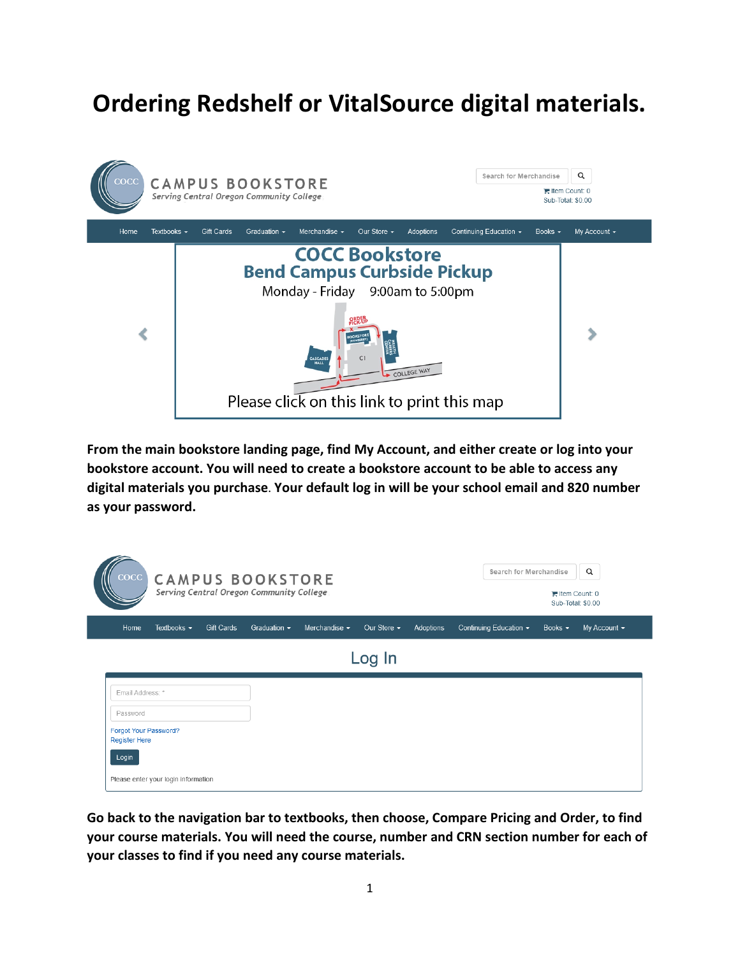# **Ordering Redshelf or VitalSource digital materials.**



**From the main bookstore landing page, find My Account, and either create or log into your bookstore account. You will need to create a bookstore account to be able to access any digital materials you purchase**. **Your default log in will be your school email and 820 number as your password.**

| $\csc$<br><b>CAMPUS BOOKSTORE</b><br>Serving Central Oregon Community College |                  |            |                   |                    |                  |           |  | $\alpha$<br>Search for Merchandise<br><b>■ Item Count: 0</b><br>Sub-Total: \$0.00 |              |                   |
|-------------------------------------------------------------------------------|------------------|------------|-------------------|--------------------|------------------|-----------|--|-----------------------------------------------------------------------------------|--------------|-------------------|
| Home                                                                          | Textbooks $\sim$ | Gift Cards | Graduation $\sim$ | Merchandise $\sim$ | Our Store $\sim$ | Adoptions |  | Continuing Education $\star$                                                      | Books $\sim$ | My Account $\sim$ |
| Log In                                                                        |                  |            |                   |                    |                  |           |  |                                                                                   |              |                   |
| Email Address: *                                                              |                  |            |                   |                    |                  |           |  |                                                                                   |              |                   |
| Password                                                                      |                  |            |                   |                    |                  |           |  |                                                                                   |              |                   |
| Forgot Your Password?<br><b>Register Here</b>                                 |                  |            |                   |                    |                  |           |  |                                                                                   |              |                   |
| Login                                                                         |                  |            |                   |                    |                  |           |  |                                                                                   |              |                   |
| Please enter your login information                                           |                  |            |                   |                    |                  |           |  |                                                                                   |              |                   |

**Go back to the navigation bar to textbooks, then choose, Compare Pricing and Order, to find your course materials. You will need the course, number and CRN section number for each of your classes to find if you need any course materials.**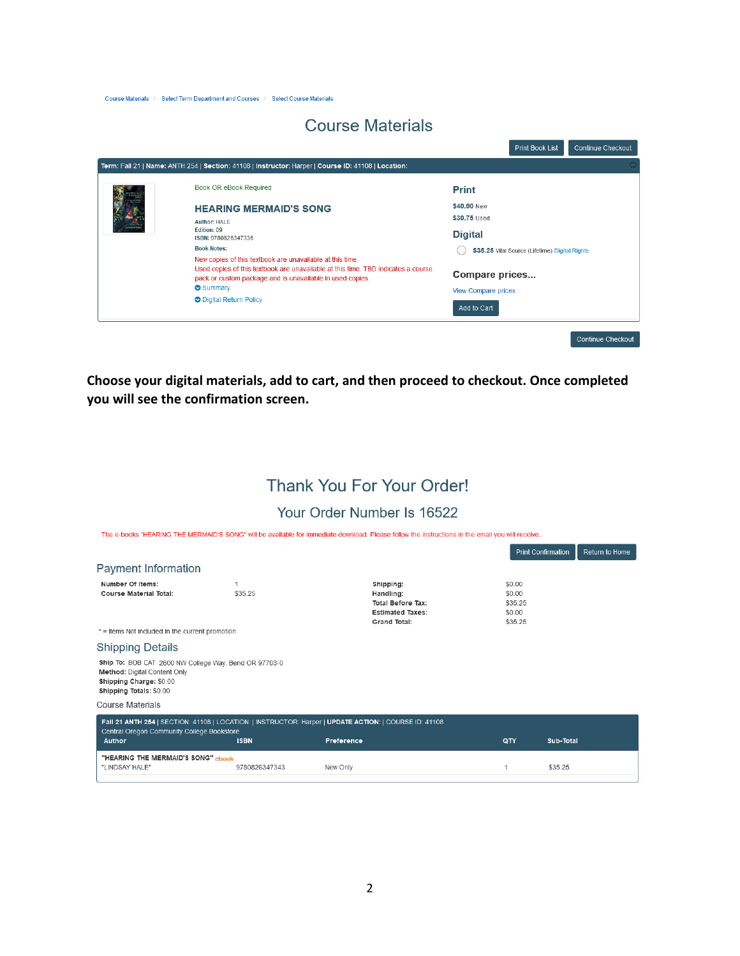Course Materials / Select Term Department and Courses / Select Course Materials

## **Course Materials**

and the company of the company

|  | Book OR eBook Required                                                                                                                                                                                                 | <b>Print</b>                                   |  |  |
|--|------------------------------------------------------------------------------------------------------------------------------------------------------------------------------------------------------------------------|------------------------------------------------|--|--|
|  | <b>HEARING MERMAID'S SONG</b>                                                                                                                                                                                          | \$40,00 New                                    |  |  |
|  | Author: HAI F                                                                                                                                                                                                          | \$30.75 Used                                   |  |  |
|  | Fdifion: 09<br>ISBN: 9780826347336                                                                                                                                                                                     | <b>Digital</b>                                 |  |  |
|  | <b>Book Notes:</b>                                                                                                                                                                                                     | \$35.25 Vital Source (Lifetime) Digital Rights |  |  |
|  | New copies of this textbook are unavailable at this time.<br>Used copies of this textbook are unavailable at this time. TBD indicates a course<br>pack or custom package and is unavailable in used copies.<br>Summary | Compare prices<br>View Compare prices          |  |  |
|  | <b>O</b> Digital Return Policy                                                                                                                                                                                         | Add to Cart                                    |  |  |

**Choose your digital materials, add to cart, and then proceed to checkout. Once completed you will see the confirmation screen.** 

## Thank You For Your Order!

#### Your Order Number Is 16522

The e-books "HEARING THE MERMAID'S SONG" will be available for immediate download. Please follow the instructions in the email you will receive..

|                                                                                                                                                                |               |                                                                                               | <b>Print Confirmation</b>                        |           | Return to Home |
|----------------------------------------------------------------------------------------------------------------------------------------------------------------|---------------|-----------------------------------------------------------------------------------------------|--------------------------------------------------|-----------|----------------|
| <b>Payment Information</b>                                                                                                                                     |               |                                                                                               |                                                  |           |                |
| Number Of Items:<br><b>Course Material Total:</b>                                                                                                              | \$35.25       | Shipping:<br>Handling:<br><b>Total Before Tax:</b><br><b>Estimated Taxes:</b><br>Grand Total: | \$0.00<br>\$0.00<br>\$35.25<br>\$0.00<br>\$35.25 |           |                |
| * = Items Not included In the current promotion.                                                                                                               |               |                                                                                               |                                                  |           |                |
| <b>Shipping Details</b>                                                                                                                                        |               |                                                                                               |                                                  |           |                |
| Ship To: BOB CAT 2600 NW College Way, Bend OR 97703-0<br>Method: Digital Content Only<br>Shipping Charge: \$0.00<br>Shipping Totals: \$0.00                    |               |                                                                                               |                                                  |           |                |
| <b>Course Materials</b>                                                                                                                                        |               |                                                                                               |                                                  |           |                |
| Fall 21 ANTH 254   SECTION: 41108   LOCATION:   INSTRUCTOR: Harper   UPDATE ACTION:   COURSE ID: 41108<br>Central Oregon Community College Bookstore<br>Author | <b>ISBN</b>   | Preference                                                                                    | QTY                                              | Sub-Total |                |
| "HEARING THE MERMAID'S SONG" ebook<br>"LINDSAY HALE"                                                                                                           | 9780826347343 | New Only                                                                                      | 1                                                | \$35.25   |                |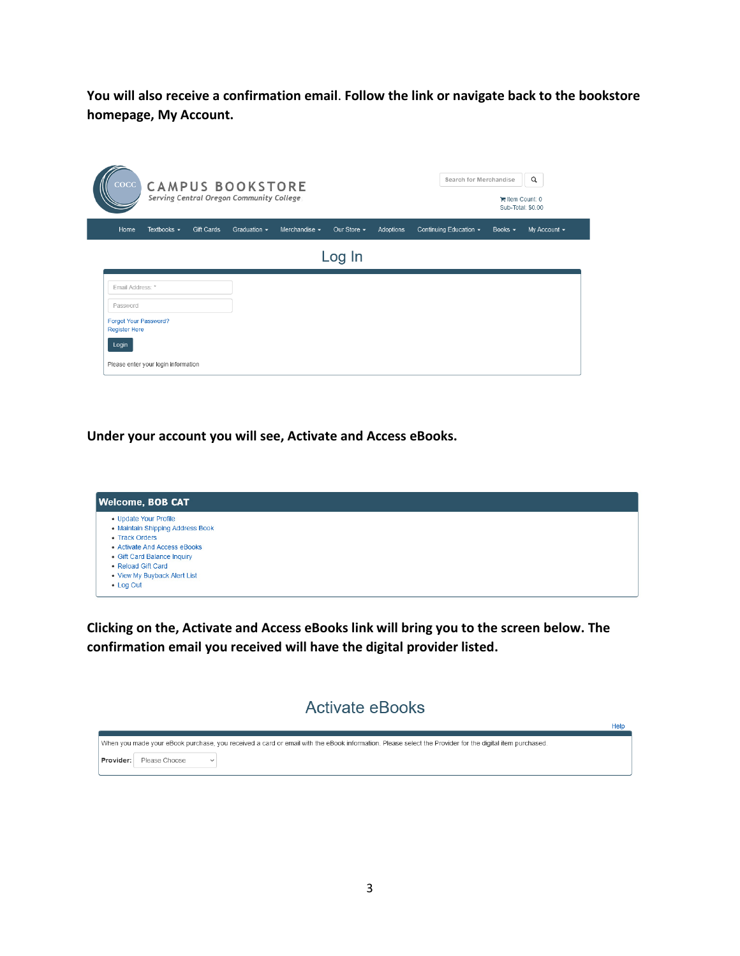**You will also receive a confirmation email**. **Follow the link or navigate back to the bookstore homepage, My Account.**

| $\csc$<br><b>CAMPUS BOOKSTORE</b><br>Serving Central Oregon Community College |                  |            |                   |                    |                  | $\alpha$<br>Search for Merchandise<br>tem Count: 0<br>Sub-Total: \$0.00 |                              |              |              |
|-------------------------------------------------------------------------------|------------------|------------|-------------------|--------------------|------------------|-------------------------------------------------------------------------|------------------------------|--------------|--------------|
| Home                                                                          | Textbooks $\sim$ | Gift Cards | Graduation $\sim$ | Merchandise $\sim$ | Our Store $\sim$ | Adoptions                                                               | Continuing Education $\star$ | Books $\sim$ | My Account - |
| Log In                                                                        |                  |            |                   |                    |                  |                                                                         |                              |              |              |
| Email Address: *                                                              |                  |            |                   |                    |                  |                                                                         |                              |              |              |
| Password                                                                      |                  |            |                   |                    |                  |                                                                         |                              |              |              |
| Forgot Your Password?<br><b>Register Here</b>                                 |                  |            |                   |                    |                  |                                                                         |                              |              |              |
| Login                                                                         |                  |            |                   |                    |                  |                                                                         |                              |              |              |
|                                                                               |                  |            |                   |                    |                  |                                                                         |                              |              |              |

**Under your account you will see, Activate and Access eBooks.**

| <b>Welcome, BOB CAT</b>                                                                                                                                                                                       |  |  |  |  |  |  |
|---------------------------------------------------------------------------------------------------------------------------------------------------------------------------------------------------------------|--|--|--|--|--|--|
| • Update Your Profile<br>• Maintain Shipping Address Book<br>• Track Orders<br>• Activate And Access eBooks<br>• Gift Card Balance Inquiry<br>• Reload Gift Card<br>. View My Buyback Alert List<br>• Log Out |  |  |  |  |  |  |

**Clicking on the, Activate and Access eBooks link will bring you to the screen below. The confirmation email you received will have the digital provider listed.**

### **Activate eBooks**

Help

|           |               |              | When you made your eBook purchase, you received a card or email with the eBook information. Please select the Provider for the digital item purchased. |
|-----------|---------------|--------------|--------------------------------------------------------------------------------------------------------------------------------------------------------|
| Provider: | Please Choose | $\checkmark$ |                                                                                                                                                        |
|           |               |              |                                                                                                                                                        |